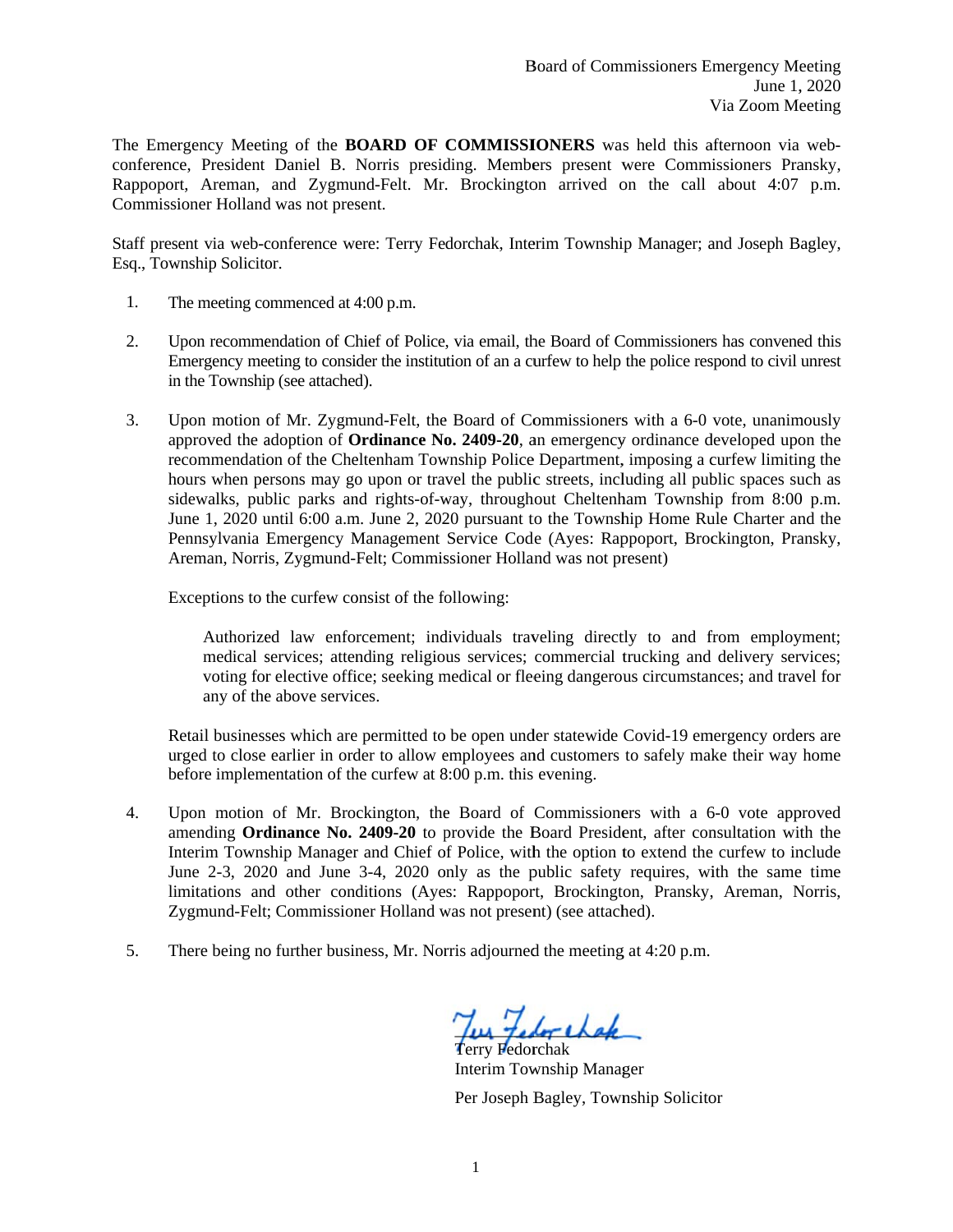The Emergency Meeting of the **BOARD OF COMMISSIONERS** was held this afternoon via webconference, President Daniel B. Norris presiding. Members present were Commissioners Pransky, Rappoport, Areman, and Zygmund-Felt. Mr. Brockington arrived on the call about 4:07 p.m. Commissioner Holland was not present.

Staff present via web-conference were: Terry Fedorchak, Interim Township Manager; and Joseph Bagley, Esq., Township Solicitor.

- $1.$ The meeting commenced at 4:00 p.m.
- 2. Upon recommendation of Chief of Police, via email, the Board of Commissioners has convened this Emergency meeting to consider the institution of an a curfew to help the police respond to civil unrest in the Township (see attached).
- $3.$ Upon motion of Mr. Zygmund-Felt, the Board of Commissioners with a 6-0 vote, unanimously approved the adoption of **Ordinance No. 2409-20**, an emergency ordinance developed upon the recommendation of the Cheltenham Township Police Department, imposing a curfew limiting the hours when persons may go upon or travel the public streets, including all public spaces such as sidewalks, public parks and rights-of-way, throughout Cheltenham Township from 8:00 p.m. June 1, 2020 until 6:00 a.m. June 2, 2020 pursuant to the Township Home Rule Charter and the Pennsylvania Emergency Management Service Code (Ayes: Rappoport, Brockington, Pransky, Areman, Norris, Zygmund-Felt; Commissioner Holland was not present)

Exceptions to the curfew consist of the following:

Authorized law enforcement; individuals traveling directly to and from employment; medical services; attending religious services; commercial trucking and delivery services; voting for elective office; seeking medical or fleeing dangerous circumstances; and travel for any of the above services.

Retail businesses which are permitted to be open under statewide Covid-19 emergency orders are urged to close earlier in order to allow employees and customers to safely make their way home before implementation of the curfew at 8:00 p.m. this evening.

- Upon motion of Mr. Brockington, the Board of Commissioners with a 6-0 vote approved 4. amending Ordinance No. 2409-20 to provide the Board President, after consultation with the Interim Township Manager and Chief of Police, with the option to extend the curfew to include June 2-3, 2020 and June 3-4, 2020 only as the public safety requires, with the same time limitations and other conditions (Ayes: Rappoport, Brockington, Pransky, Areman, Norris, Zygmund-Felt; Commissioner Holland was not present) (see attached).
- 5. There being no further business, Mr. Norris adjourned the meeting at 4:20 p.m.

Terry Fedorchak

**Interim Township Manager** Per Joseph Bagley, Township Solicitor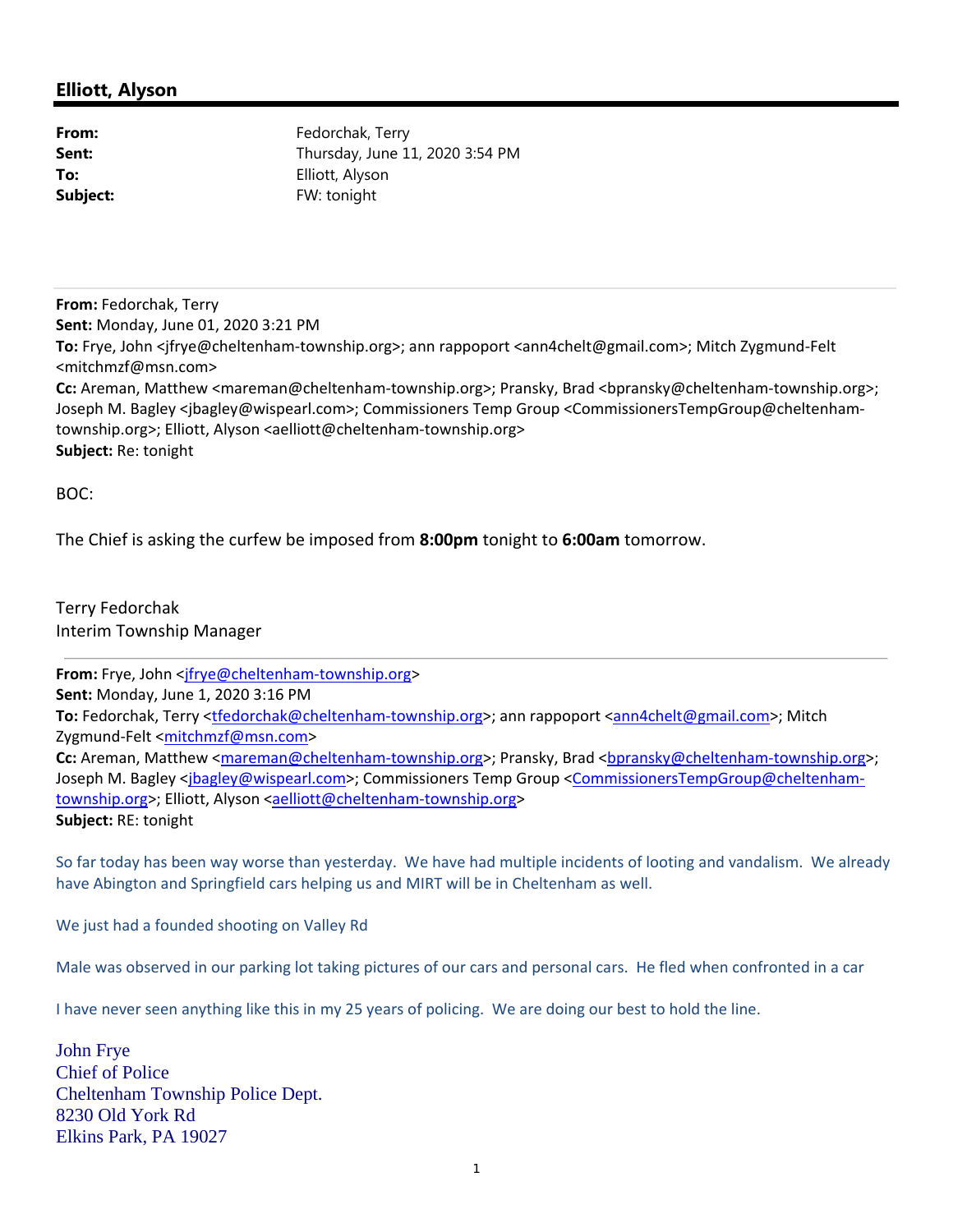## **Elliott, Alyson**

From: Fedorchak, Terry **Sent:** Thursday, June 11, 2020 3:54 PM **To:** Elliott, Alyson **Subject:** FW: tonight

**From:** Fedorchak, Terry **Sent:** Monday, June 01, 2020 3:21 PM **To:** Frye, John <jfrye@cheltenham‐township.org>; ann rappoport <ann4chelt@gmail.com>; Mitch Zygmund‐Felt <mitchmzf@msn.com> **Cc:** Areman, Matthew <mareman@cheltenham‐township.org>; Pransky, Brad <bpransky@cheltenham‐township.org>; Joseph M. Bagley <jbagley@wispearl.com>; Commissioners Temp Group <CommissionersTempGroup@cheltenhamtownship.org>; Elliott, Alyson <aelliott@cheltenham-township.org> **Subject:** Re: tonight

BOC:

The Chief is asking the curfew be imposed from **8:00pm** tonight to **6:00am** tomorrow.

Terry Fedorchak Interim Township Manager

From: Frye, John <jfrye@cheltenham-township.org> **Sent:** Monday, June 1, 2020 3:16 PM **To:** Fedorchak, Terry <tfedorchak@cheltenham‐township.org>; ann rappoport <ann4chelt@gmail.com>; Mitch Zygmund-Felt <mitchmzf@msn.com> **Cc:** Areman, Matthew <mareman@cheltenham-township.org>; Pransky, Brad <br/>bypansky@cheltenham-township.org>; Joseph M. Bagley <jbagley@wispearl.com>; Commissioners Temp Group <CommissionersTempGroup@cheltenhamtownship.org>; Elliott, Alyson <aelliott@cheltenham-township.org> **Subject:** RE: tonight

So far today has been way worse than yesterday. We have had multiple incidents of looting and vandalism. We already have Abington and Springfield cars helping us and MIRT will be in Cheltenham as well.

We just had a founded shooting on Valley Rd

Male was observed in our parking lot taking pictures of our cars and personal cars. He fled when confronted in a car

I have never seen anything like this in my 25 years of policing. We are doing our best to hold the line.

John Frye Chief of Police Cheltenham Township Police Dept. 8230 Old York Rd Elkins Park, PA 19027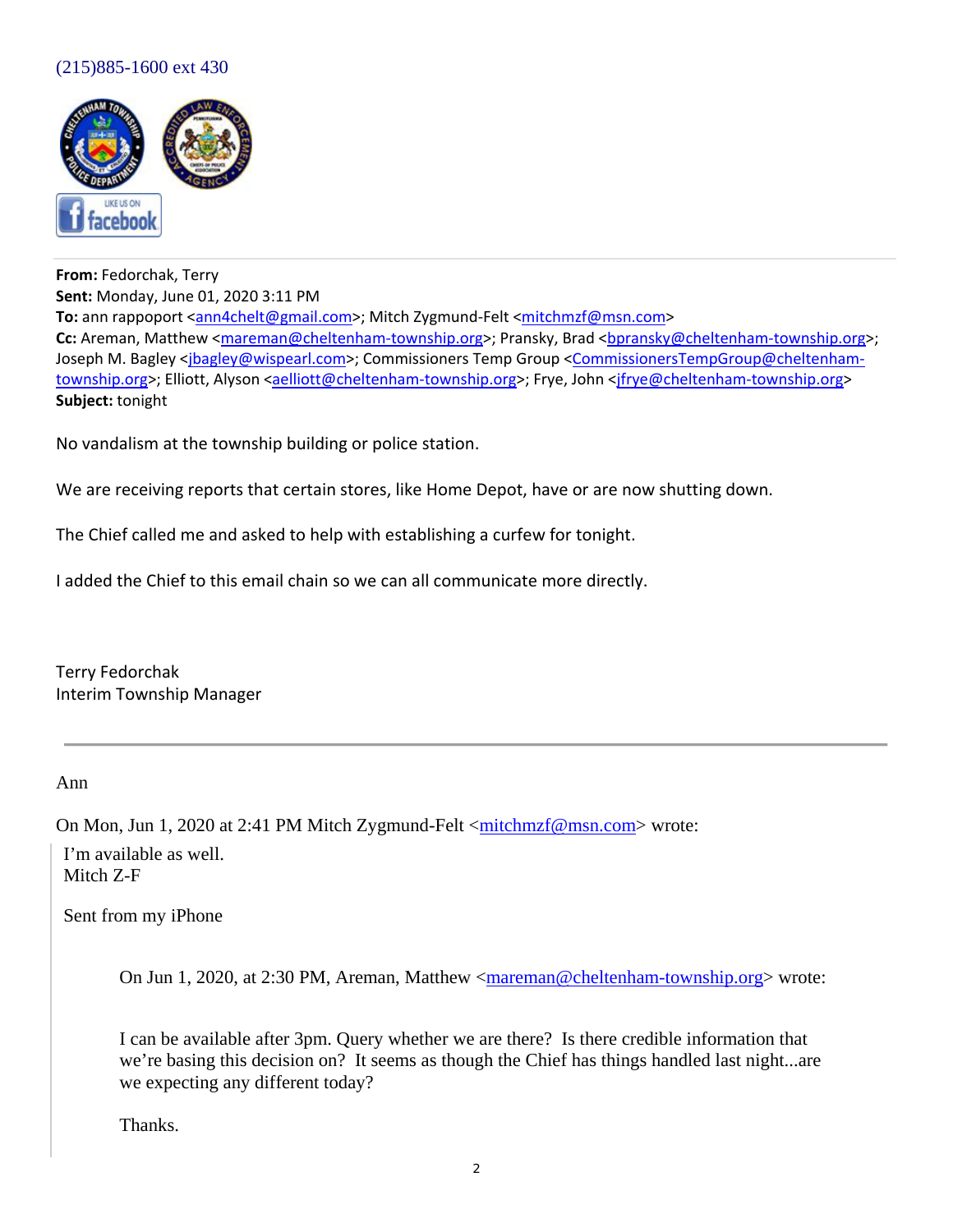## (215)885-1600 ext 430



**From:** Fedorchak, Terry **Sent:** Monday, June 01, 2020 3:11 PM **To:** ann rappoport <ann4chelt@gmail.com>; Mitch Zygmund-Felt <mitchmzf@msn.com> **Cc:** Areman, Matthew <mareman@cheltenham‐township.org>; Pransky, Brad <bpransky@cheltenham‐township.org>; Joseph M. Bagley <jbagley@wispearl.com>; Commissioners Temp Group <CommissionersTempGroup@cheltenhamtownship.org>; Elliott, Alyson <aelliott@cheltenham-township.org>; Frye, John <ifrye@cheltenham-township.org> **Subject:** tonight

No vandalism at the township building or police station.

We are receiving reports that certain stores, like Home Depot, have or are now shutting down.

The Chief called me and asked to help with establishing a curfew for tonight.

I added the Chief to this email chain so we can all communicate more directly.

Terry Fedorchak Interim Township Manager

Ann

On Mon, Jun 1, 2020 at 2:41 PM Mitch Zygmund-Felt < $mitchmrf@msn.com$  wrote:

I'm available as well. Mitch Z-F

Sent from my iPhone

On Jun 1, 2020, at 2:30 PM, Areman, Matthew  $\langle$ mareman@cheltenham-township.org> wrote:

I can be available after 3pm. Query whether we are there? Is there credible information that we're basing this decision on? It seems as though the Chief has things handled last night...are we expecting any different today?

Thanks.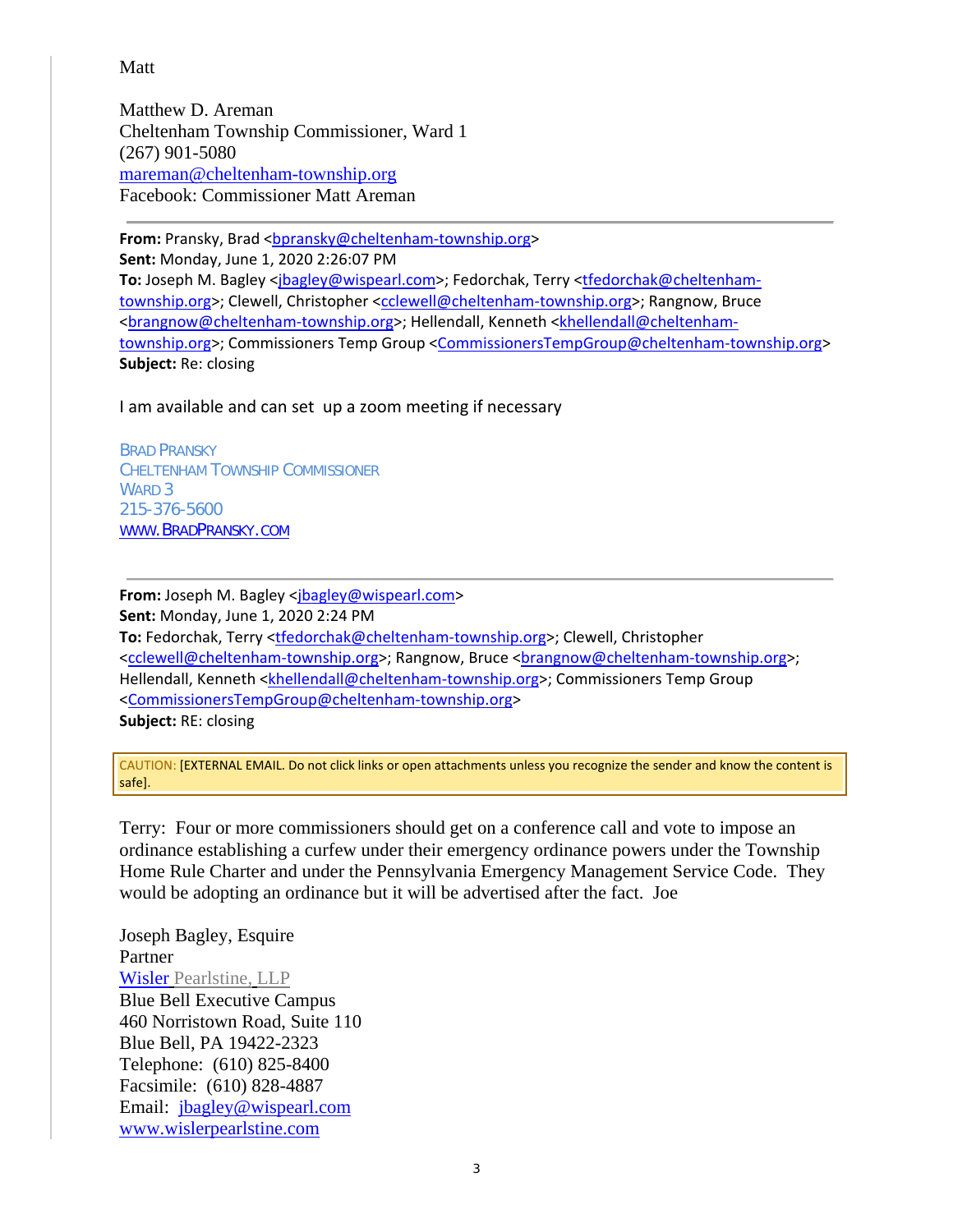## Matt

Matthew D. Areman Cheltenham Township Commissioner, Ward 1 (267) 901-5080 mareman@cheltenham-township.org Facebook: Commissioner Matt Areman

From: Pransky, Brad <bpransky@cheltenham-township.org> **Sent:** Monday, June 1, 2020 2:26:07 PM To: Joseph M. Bagley <jbagley@wispearl.com>; Fedorchak, Terry <tfedorchak@cheltenhamtownship.org>; Clewell, Christopher <cclewell@cheltenham‐township.org>; Rangnow, Bruce <brangnow@cheltenham‐township.org>; Hellendall, Kenneth <khellendall@cheltenham‐ township.org>; Commissioners Temp Group <CommissionersTempGroup@cheltenham-township.org> **Subject:** Re: closing

I am available and can set up a zoom meeting if necessary

*BRAD PRANSKY CHELTENHAM TOWNSHIP COMMISSIONER WARD 3 215-376-5600 WWW.BRADPRANSKY.COM*

**From:** Joseph M. Bagley <jbagley@wispearl.com> **Sent:** Monday, June 1, 2020 2:24 PM **To:** Fedorchak, Terry <tfedorchak@cheltenham‐township.org>; Clewell, Christopher <cclewell@cheltenham-township.org>; Rangnow, Bruce <brangnow@cheltenham-township.org>; Hellendall, Kenneth <khellendall@cheltenham-township.org>; Commissioners Temp Group <CommissionersTempGroup@cheltenham‐township.org> **Subject:** RE: closing

CAUTION: [EXTERNAL EMAIL. Do not click links or open attachments unless you recognize the sender and know the content is safe].

Terry: Four or more commissioners should get on a conference call and vote to impose an ordinance establishing a curfew under their emergency ordinance powers under the Township Home Rule Charter and under the Pennsylvania Emergency Management Service Code. They would be adopting an ordinance but it will be advertised after the fact. Joe

Joseph Bagley, Esquire Partner Wisler Pearlstine, LLP Blue Bell Executive Campus 460 Norristown Road, Suite 110 Blue Bell, PA 19422-2323 Telephone: (610) 825-8400 Facsimile: (610) 828-4887 Email: jbagley@wispearl.com www.wislerpearlstine.com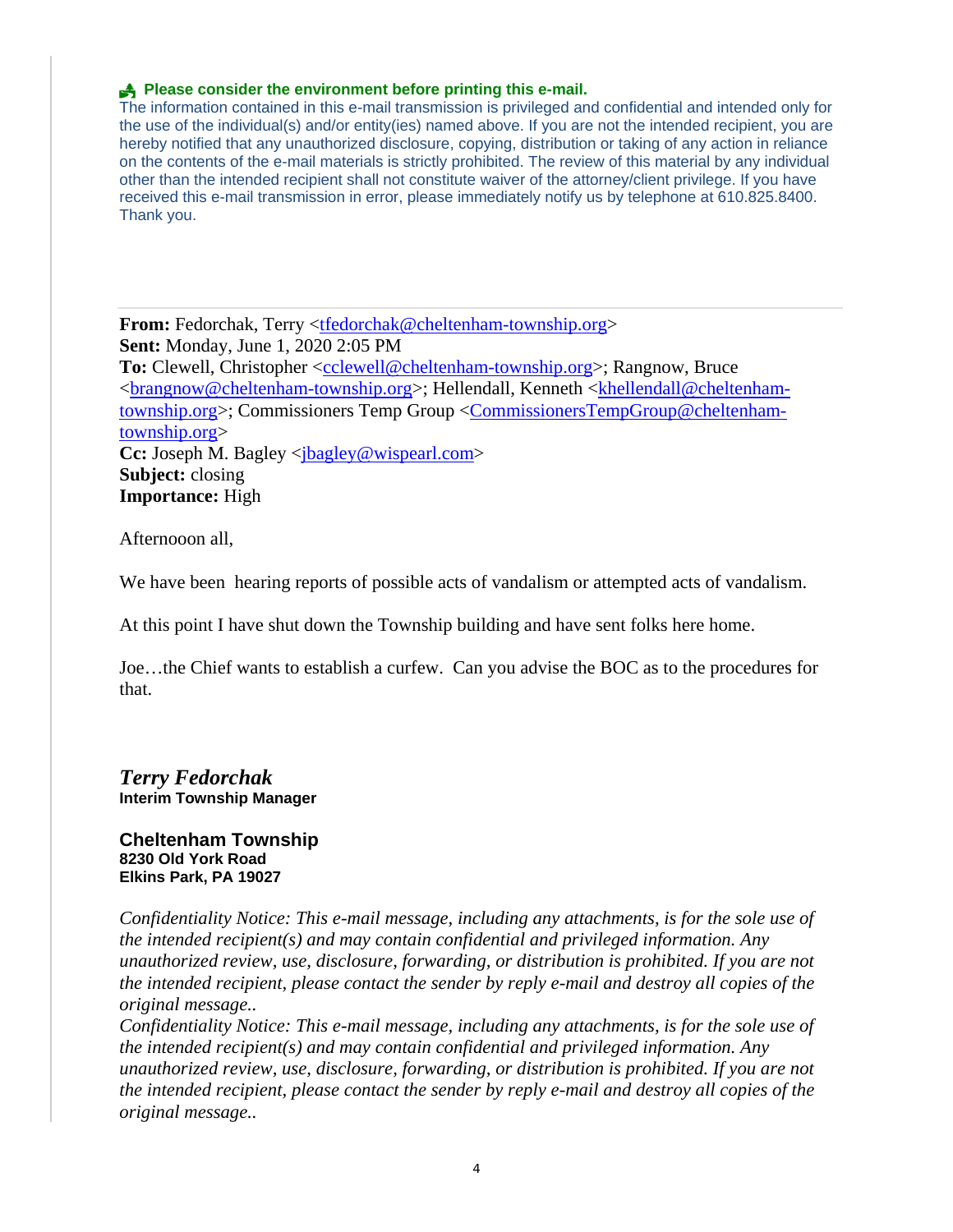## **Please consider the environment before printing this e-mail.**

The information contained in this e-mail transmission is privileged and confidential and intended only for the use of the individual(s) and/or entity(ies) named above. If you are not the intended recipient, you are hereby notified that any unauthorized disclosure, copying, distribution or taking of any action in reliance on the contents of the e-mail materials is strictly prohibited. The review of this material by any individual other than the intended recipient shall not constitute waiver of the attorney/client privilege. If you have received this e-mail transmission in error, please immediately notify us by telephone at 610.825.8400. Thank you.

**From:** Fedorchak, Terry <tfedorchak@cheltenham-township.org> **Sent:** Monday, June 1, 2020 2:05 PM To: Clewell, Christopher <cclewell@cheltenham-township.org>; Rangnow, Bruce <brangnow@cheltenham-township.org>; Hellendall, Kenneth <khellendall@cheltenhamtownship.org>; Commissioners Temp Group <CommissionersTempGroup@cheltenhamtownship.org> **Cc:** Joseph M. Bagley <*jbagley@wispearl.com*>

**Subject:** closing **Importance:** High

Afternooon all,

We have been hearing reports of possible acts of vandalism or attempted acts of vandalism.

At this point I have shut down the Township building and have sent folks here home.

Joe…the Chief wants to establish a curfew. Can you advise the BOC as to the procedures for that.

*Terry Fedorchak* **Interim Township Manager**

#### **Cheltenham Township 8230 Old York Road Elkins Park, PA 19027**

*Confidentiality Notice: This e-mail message, including any attachments, is for the sole use of the intended recipient(s) and may contain confidential and privileged information. Any unauthorized review, use, disclosure, forwarding, or distribution is prohibited. If you are not the intended recipient, please contact the sender by reply e-mail and destroy all copies of the original message..*

*Confidentiality Notice: This e-mail message, including any attachments, is for the sole use of the intended recipient(s) and may contain confidential and privileged information. Any unauthorized review, use, disclosure, forwarding, or distribution is prohibited. If you are not the intended recipient, please contact the sender by reply e-mail and destroy all copies of the original message..*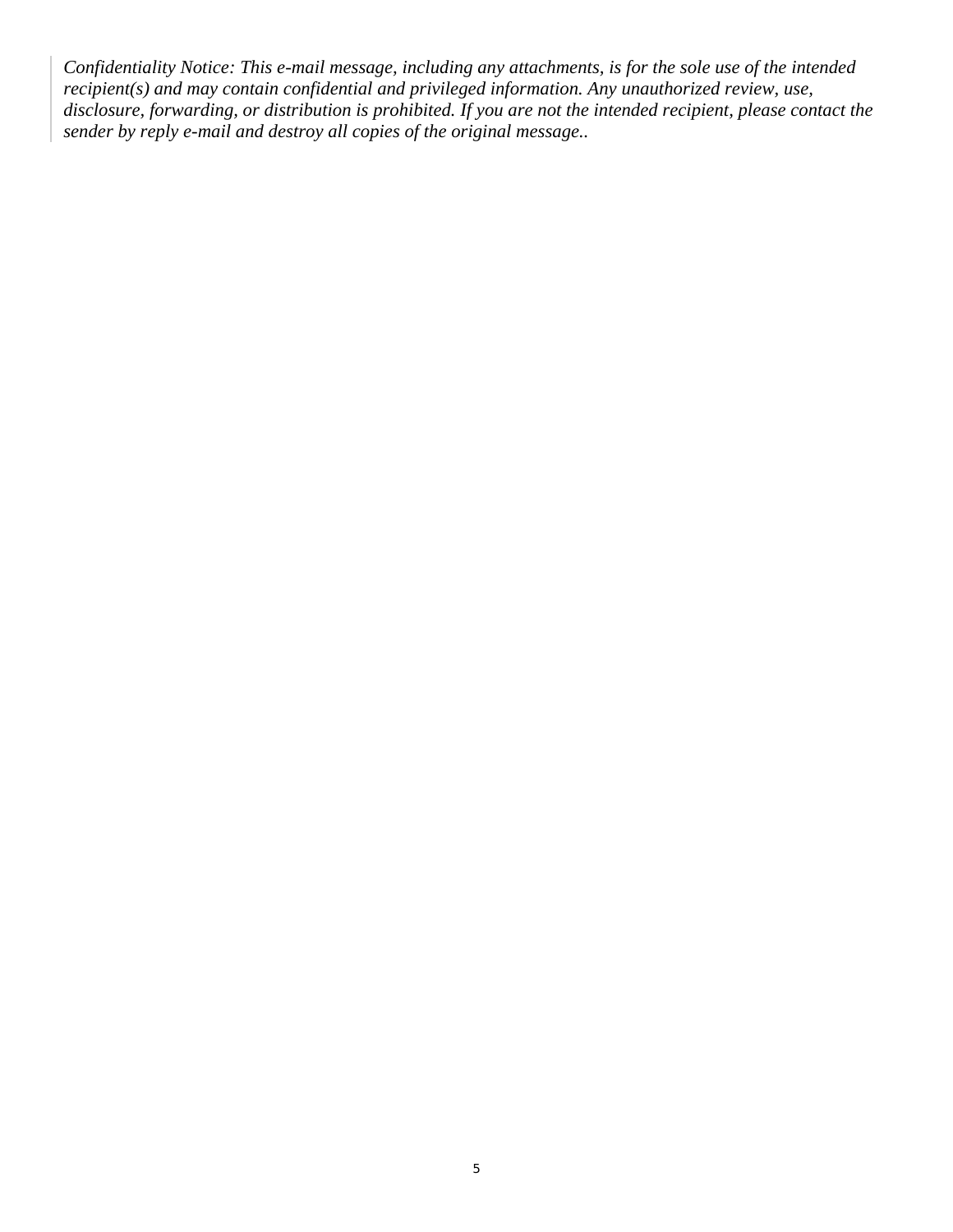*Confidentiality Notice: This e-mail message, including any attachments, is for the sole use of the intended recipient(s) and may contain confidential and privileged information. Any unauthorized review, use, disclosure, forwarding, or distribution is prohibited. If you are not the intended recipient, please contact the sender by reply e-mail and destroy all copies of the original message..*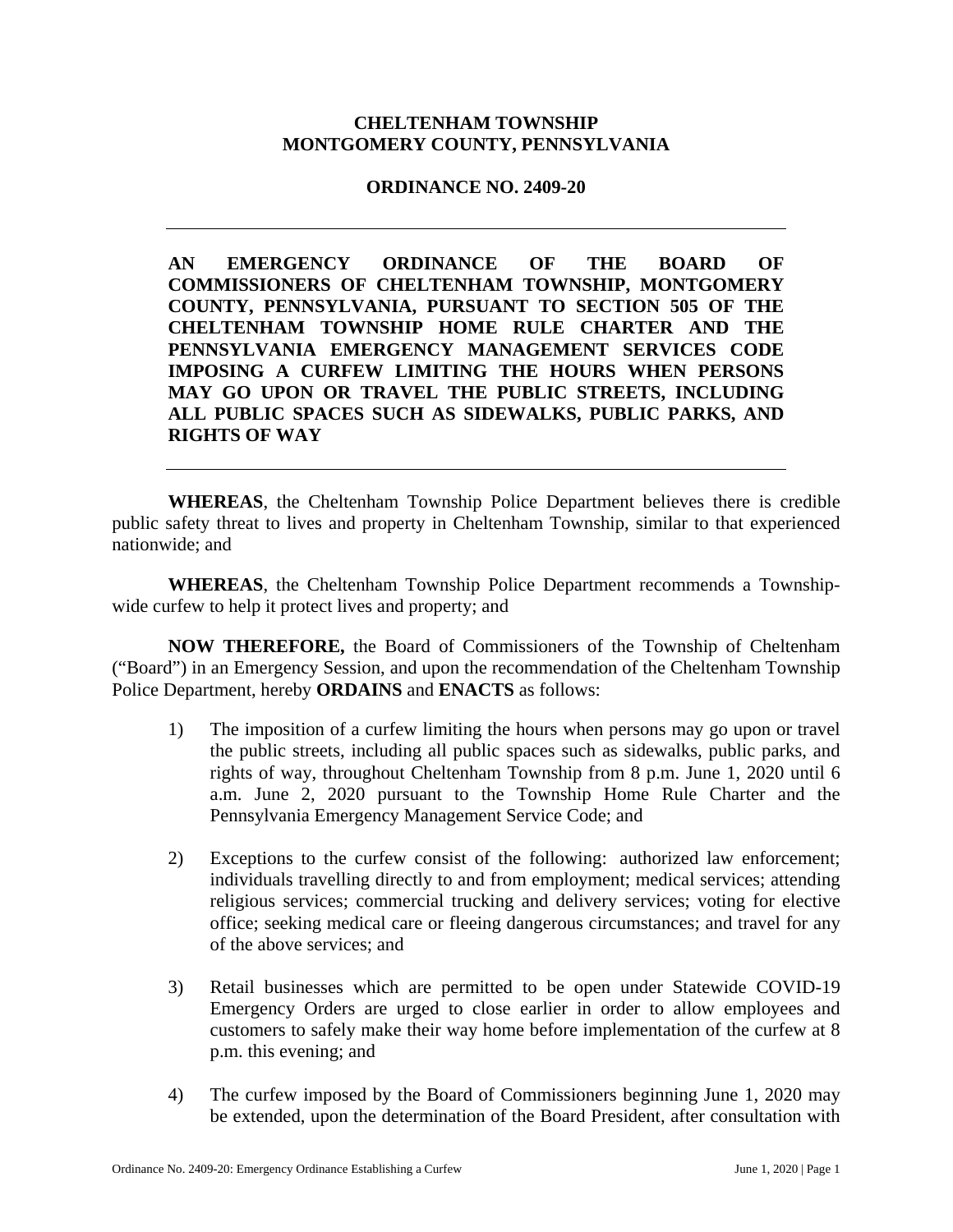## **CHELTENHAM TOWNSHIP MONTGOMERY COUNTY, PENNSYLVANIA**

### **ORDINANCE NO. 2409-20**

**AN EMERGENCY ORDINANCE OF THE BOARD OF COMMISSIONERS OF CHELTENHAM TOWNSHIP, MONTGOMERY COUNTY, PENNSYLVANIA, PURSUANT TO SECTION 505 OF THE CHELTENHAM TOWNSHIP HOME RULE CHARTER AND THE PENNSYLVANIA EMERGENCY MANAGEMENT SERVICES CODE IMPOSING A CURFEW LIMITING THE HOURS WHEN PERSONS MAY GO UPON OR TRAVEL THE PUBLIC STREETS, INCLUDING ALL PUBLIC SPACES SUCH AS SIDEWALKS, PUBLIC PARKS, AND RIGHTS OF WAY** 

**WHEREAS**, the Cheltenham Township Police Department believes there is credible public safety threat to lives and property in Cheltenham Township, similar to that experienced nationwide; and

**WHEREAS**, the Cheltenham Township Police Department recommends a Townshipwide curfew to help it protect lives and property; and

**NOW THEREFORE,** the Board of Commissioners of the Township of Cheltenham ("Board") in an Emergency Session, and upon the recommendation of the Cheltenham Township Police Department, hereby **ORDAINS** and **ENACTS** as follows:

- 1) The imposition of a curfew limiting the hours when persons may go upon or travel the public streets, including all public spaces such as sidewalks, public parks, and rights of way, throughout Cheltenham Township from 8 p.m. June 1, 2020 until 6 a.m. June 2, 2020 pursuant to the Township Home Rule Charter and the Pennsylvania Emergency Management Service Code; and
- 2) Exceptions to the curfew consist of the following: authorized law enforcement; individuals travelling directly to and from employment; medical services; attending religious services; commercial trucking and delivery services; voting for elective office; seeking medical care or fleeing dangerous circumstances; and travel for any of the above services; and
- 3) Retail businesses which are permitted to be open under Statewide COVID-19 Emergency Orders are urged to close earlier in order to allow employees and customers to safely make their way home before implementation of the curfew at 8 p.m. this evening; and
- 4) The curfew imposed by the Board of Commissioners beginning June 1, 2020 may be extended, upon the determination of the Board President, after consultation with